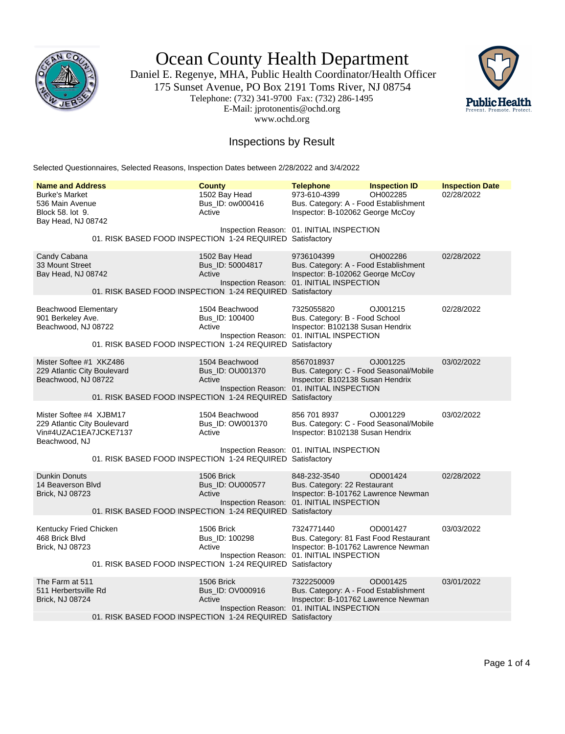

Ocean County Health Department

Daniel E. Regenye, MHA, Public Health Coordinator/Health Officer 175 Sunset Avenue, PO Box 2191 Toms River, NJ 08754 Telephone: (732) 341-9700 Fax: (732) 286-1495 E-Mail: jprotonentis@ochd.org www.ochd.org



## Inspections by Result

Selected Questionnaires, Selected Reasons, Inspection Dates between 2/28/2022 and 3/4/2022

| <b>Name and Address</b>                                                                          | <b>County</b>                                                                                             | <b>Telephone</b>                                                                                                                         | <b>Inspection ID</b> | <b>Inspection Date</b> |
|--------------------------------------------------------------------------------------------------|-----------------------------------------------------------------------------------------------------------|------------------------------------------------------------------------------------------------------------------------------------------|----------------------|------------------------|
| <b>Burke's Market</b><br>536 Main Avenue<br>Block 58. lot 9.<br>Bay Head, NJ 08742               | 1502 Bay Head<br>Bus_ID: ow000416<br>Active                                                               | 973-610-4399<br>Bus. Category: A - Food Establishment<br>Inspector: B-102062 George McCoy<br>Inspection Reason: 01. INITIAL INSPECTION   | OH002285             | 02/28/2022             |
|                                                                                                  | 01. RISK BASED FOOD INSPECTION 1-24 REQUIRED Satisfactory                                                 |                                                                                                                                          |                      |                        |
| Candy Cabana<br>33 Mount Street<br>Bay Head, NJ 08742                                            | 1502 Bay Head<br>Bus_ID: 50004817<br>Active<br>01. RISK BASED FOOD INSPECTION 1-24 REQUIRED Satisfactory  | 9736104399<br>Bus. Category: A - Food Establishment<br>Inspector: B-102062 George McCoy<br>Inspection Reason: 01. INITIAL INSPECTION     | OH002286             | 02/28/2022             |
| Beachwood Elementary<br>901 Berkeley Ave.<br>Beachwood, NJ 08722                                 | 1504 Beachwood<br>Bus ID: 100400<br>Active<br>01. RISK BASED FOOD INSPECTION 1-24 REQUIRED Satisfactory   | 7325055820<br>Bus. Category: B - Food School<br>Inspector: B102138 Susan Hendrix<br>Inspection Reason: 01. INITIAL INSPECTION            | OJ001215             | 02/28/2022             |
| Mister Softee #1 XKZ486<br>229 Atlantic City Boulevard<br>Beachwood, NJ 08722                    | 1504 Beachwood<br>Bus ID: OU001370<br>Active<br>01. RISK BASED FOOD INSPECTION 1-24 REQUIRED Satisfactory | 8567018937<br>Bus. Category: C - Food Seasonal/Mobile<br>Inspector: B102138 Susan Hendrix<br>Inspection Reason: 01. INITIAL INSPECTION   | OJ001225             | 03/02/2022             |
| Mister Softee #4 XJBM17<br>229 Atlantic City Boulevard<br>Vin#4UZAC1EA7JCKE7137<br>Beachwood, NJ | 1504 Beachwood<br>Bus_ID: OW001370<br>Active                                                              | 856 701 8937<br>Bus. Category: C - Food Seasonal/Mobile<br>Inspector: B102138 Susan Hendrix<br>Inspection Reason: 01. INITIAL INSPECTION | OJ001229             | 03/02/2022             |
|                                                                                                  | 01. RISK BASED FOOD INSPECTION 1-24 REQUIRED Satisfactory                                                 |                                                                                                                                          |                      |                        |
| <b>Dunkin Donuts</b><br>14 Beaverson Blvd<br><b>Brick, NJ 08723</b>                              | 1506 Brick<br>Bus_ID: OU000577<br>Active<br>01. RISK BASED FOOD INSPECTION 1-24 REQUIRED Satisfactory     | 848-232-3540<br>Bus. Category: 22 Restaurant<br>Inspector: B-101762 Lawrence Newman<br>Inspection Reason: 01. INITIAL INSPECTION         | OD001424             | 02/28/2022             |
| Kentucky Fried Chicken<br>468 Brick Blvd<br>Brick, NJ 08723                                      | 1506 Brick<br>Bus_ID: 100298<br>Active<br>01. RISK BASED FOOD INSPECTION 1-24 REQUIRED Satisfactory       | 7324771440<br>Bus. Category: 81 Fast Food Restaurant<br>Inspector: B-101762 Lawrence Newman<br>Inspection Reason: 01. INITIAL INSPECTION | OD001427             | 03/03/2022             |
| The Farm at 511<br>511 Herbertsville Rd<br><b>Brick, NJ 08724</b>                                | 1506 Brick<br>Bus_ID: OV000916<br>Active<br>01. RISK BASED FOOD INSPECTION 1-24 REQUIRED Satisfactory     | 7322250009<br>Bus. Category: A - Food Establishment<br>Inspector: B-101762 Lawrence Newman<br>Inspection Reason: 01. INITIAL INSPECTION  | OD001425             | 03/01/2022             |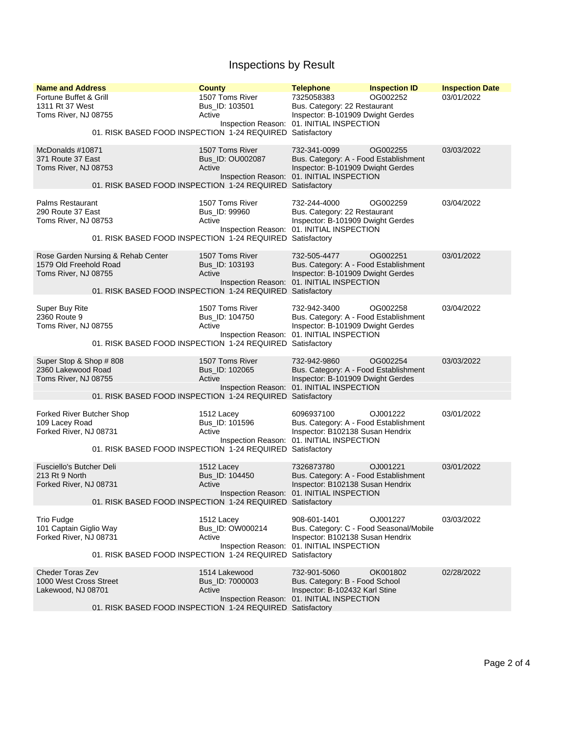## Inspections by Result

| <b>Name and Address</b>                                                              | <b>County</b>                                                                                              | <b>Telephone</b>                                                                                                                                         | <b>Inspection ID</b> | <b>Inspection Date</b> |
|--------------------------------------------------------------------------------------|------------------------------------------------------------------------------------------------------------|----------------------------------------------------------------------------------------------------------------------------------------------------------|----------------------|------------------------|
| Fortune Buffet & Grill<br>1311 Rt 37 West<br>Toms River, NJ 08755                    | 1507 Toms River<br>Bus ID: 103501<br>Active                                                                | 7325058383<br>Bus. Category: 22 Restaurant<br>Inspector: B-101909 Dwight Gerdes<br>Inspection Reason: 01. INITIAL INSPECTION                             | OG002252             | 03/01/2022             |
|                                                                                      | 01. RISK BASED FOOD INSPECTION 1-24 REQUIRED Satisfactory                                                  |                                                                                                                                                          |                      |                        |
| McDonalds #10871<br>371 Route 37 East<br>Toms River, NJ 08753                        | 1507 Toms River<br>Bus_ID: OU002087<br>Active<br>01. RISK BASED FOOD INSPECTION 1-24 REQUIRED Satisfactory | 732-341-0099<br>Bus. Category: A - Food Establishment<br>Inspector: B-101909 Dwight Gerdes<br>Inspection Reason: 01. INITIAL INSPECTION                  | OG002255             | 03/03/2022             |
| <b>Palms Restaurant</b><br>290 Route 37 East<br>Toms River, NJ 08753                 | 1507 Toms River<br>Bus_ID: 99960<br>Active<br>01. RISK BASED FOOD INSPECTION 1-24 REQUIRED                 | 732-244-4000<br>Bus. Category: 22 Restaurant<br>Inspector: B-101909 Dwight Gerdes<br>Inspection Reason: 01. INITIAL INSPECTION<br>Satisfactory           | OG002259             | 03/04/2022             |
| Rose Garden Nursing & Rehab Center<br>1579 Old Freehold Road<br>Toms River, NJ 08755 | 1507 Toms River<br>Bus_ID: 103193<br>Active<br>01. RISK BASED FOOD INSPECTION 1-24 REQUIRED Satisfactory   | 732-505-4477<br>Bus. Category: A - Food Establishment<br>Inspector: B-101909 Dwight Gerdes<br>Inspection Reason: 01. INITIAL INSPECTION                  | OG002251             | 03/01/2022             |
| Super Buy Rite<br>2360 Route 9<br>Toms River, NJ 08755                               | 1507 Toms River<br>Bus ID: 104750<br>Active<br>01. RISK BASED FOOD INSPECTION 1-24 REQUIRED Satisfactory   | 732-942-3400<br>Bus. Category: A - Food Establishment<br>Inspector: B-101909 Dwight Gerdes<br>Inspection Reason: 01. INITIAL INSPECTION                  | OG002258             | 03/04/2022             |
| Super Stop & Shop #808<br>2360 Lakewood Road<br>Toms River, NJ 08755                 | 1507 Toms River<br>Bus_ID: 102065<br>Active<br>01. RISK BASED FOOD INSPECTION 1-24 REQUIRED Satisfactory   | 732-942-9860<br>Bus. Category: A - Food Establishment<br>Inspector: B-101909 Dwight Gerdes<br>Inspection Reason: 01. INITIAL INSPECTION                  | OG002254             | 03/03/2022             |
| Forked River Butcher Shop<br>109 Lacey Road<br>Forked River, NJ 08731                | 1512 Lacey<br>Bus_ID: 101596<br>Active<br>01. RISK BASED FOOD INSPECTION 1-24 REQUIRED                     | 6096937100<br>Bus. Category: A - Food Establishment<br>Inspector: B102138 Susan Hendrix<br>Inspection Reason: 01. INITIAL INSPECTION<br>Satisfactory     | OJ001222             | 03/01/2022             |
| Fusciello's Butcher Deli<br>213 Rt 9 North<br>Forked River, NJ 08731                 | 1512 Lacey<br>Bus_ID: 104450<br>Active<br>01. RISK BASED FOOD INSPECTION 1-24 REQUIRED Satisfactory        | 7326873780<br>Bus. Category: A - Food Establishment<br>Inspector: B102138 Susan Hendrix<br>Inspection Reason: 01. INITIAL INSPECTION                     | OJ001221             | 03/01/2022             |
| <b>Trio Fudge</b><br>101 Captain Giglio Way<br>Forked River, NJ 08731                | 1512 Lacey<br>Bus_ID: OW000214<br>Active<br>01. RISK BASED FOOD INSPECTION 1-24 REQUIRED                   | 908-601-1401<br>Bus. Category: C - Food Seasonal/Mobile<br>Inspector: B102138 Susan Hendrix<br>Inspection Reason: 01. INITIAL INSPECTION<br>Satisfactory | OJ001227             | 03/03/2022             |
| Cheder Toras Zev<br>1000 West Cross Street<br>Lakewood, NJ 08701                     | 1514 Lakewood<br>Bus_ID: 7000003<br>Active<br>01. RISK BASED FOOD INSPECTION 1-24 REQUIRED Satisfactory    | 732-901-5060<br>Bus. Category: B - Food School<br>Inspector: B-102432 Karl Stine<br>Inspection Reason: 01. INITIAL INSPECTION                            | OK001802             | 02/28/2022             |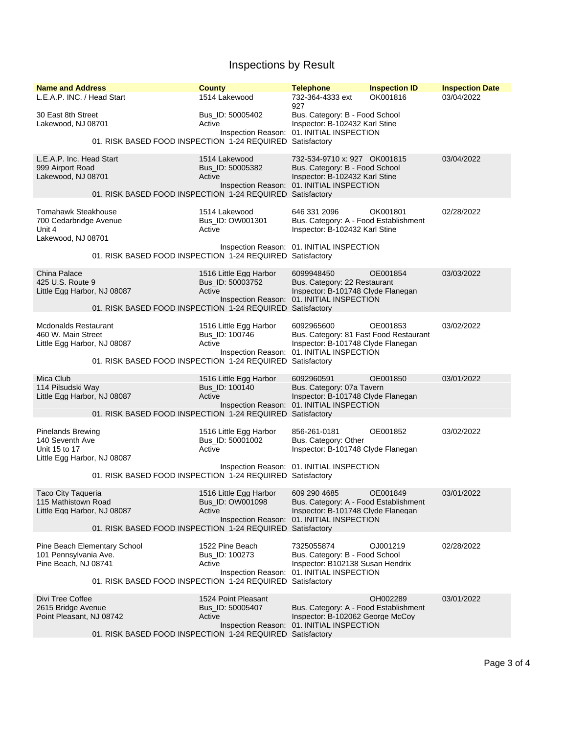## Inspections by Result

| <b>Name and Address</b><br>L.E.A.P. INC. / Head Start                                       | <b>County</b><br>1514 Lakewood                                                                                    | <b>Telephone</b><br>732-364-4333 ext                                                                                                          | <b>Inspection ID</b><br>OK001816 | <b>Inspection Date</b><br>03/04/2022 |  |
|---------------------------------------------------------------------------------------------|-------------------------------------------------------------------------------------------------------------------|-----------------------------------------------------------------------------------------------------------------------------------------------|----------------------------------|--------------------------------------|--|
| 30 East 8th Street<br>Lakewood, NJ 08701                                                    | Bus_ID: 50005402<br>Active                                                                                        | 927<br>Bus. Category: B - Food School<br>Inspector: B-102432 Karl Stine<br>Inspection Reason: 01. INITIAL INSPECTION                          |                                  |                                      |  |
|                                                                                             | 01. RISK BASED FOOD INSPECTION 1-24 REQUIRED Satisfactory                                                         |                                                                                                                                               |                                  |                                      |  |
| L.E.A.P. Inc. Head Start<br>999 Airport Road<br>Lakewood, NJ 08701                          | 1514 Lakewood<br>Bus_ID: 50005382<br>Active<br>01. RISK BASED FOOD INSPECTION 1-24 REQUIRED Satisfactory          | 732-534-9710 x: 927 OK001815<br>Bus. Category: B - Food School<br>Inspector: B-102432 Karl Stine<br>Inspection Reason: 01. INITIAL INSPECTION |                                  | 03/04/2022                           |  |
| Tomahawk Steakhouse<br>700 Cedarbridge Avenue<br>Unit 4<br>Lakewood, NJ 08701               | 1514 Lakewood<br>Bus_ID: OW001301<br>Active<br>01. RISK BASED FOOD INSPECTION 1-24 REQUIRED Satisfactory          | 646 331 2096<br>Bus. Category: A - Food Establishment<br>Inspector: B-102432 Karl Stine<br>Inspection Reason: 01. INITIAL INSPECTION          | OK001801                         | 02/28/2022                           |  |
|                                                                                             |                                                                                                                   |                                                                                                                                               |                                  |                                      |  |
| <b>China Palace</b><br>425 U.S. Route 9<br>Little Egg Harbor, NJ 08087                      | 1516 Little Egg Harbor<br>Bus ID: 50003752<br>Active                                                              | 6099948450<br>Bus. Category: 22 Restaurant<br>Inspector: B-101748 Clyde Flanegan<br>Inspection Reason: 01. INITIAL INSPECTION                 | OE001854                         | 03/03/2022                           |  |
|                                                                                             | 01. RISK BASED FOOD INSPECTION 1-24 REQUIRED Satisfactory                                                         |                                                                                                                                               |                                  |                                      |  |
| Mcdonalds Restaurant<br>460 W. Main Street<br>Little Egg Harbor, NJ 08087                   | 1516 Little Egg Harbor<br>Bus ID: 100746<br>Active                                                                | 6092965600<br>Bus. Category: 81 Fast Food Restaurant<br>Inspector: B-101748 Clyde Flanegan<br>Inspection Reason: 01. INITIAL INSPECTION       | OE001853                         | 03/02/2022                           |  |
|                                                                                             | 01. RISK BASED FOOD INSPECTION 1-24 REQUIRED Satisfactory                                                         |                                                                                                                                               |                                  |                                      |  |
| Mica Club<br>114 Pilsudski Way<br>Little Egg Harbor, NJ 08087                               | 1516 Little Egg Harbor<br>Bus_ID: 100140<br>Active                                                                | 6092960591<br>Bus. Category: 07a Tavern<br>Inspector: B-101748 Clyde Flanegan<br>Inspection Reason: 01. INITIAL INSPECTION                    | OE001850                         | 03/01/2022                           |  |
|                                                                                             | 01. RISK BASED FOOD INSPECTION 1-24 REQUIRED Satisfactory                                                         |                                                                                                                                               |                                  |                                      |  |
| <b>Pinelands Brewing</b><br>140 Seventh Ave<br>Unit 15 to 17<br>Little Egg Harbor, NJ 08087 | 1516 Little Egg Harbor<br>Bus_ID: 50001002<br>Active                                                              | 856-261-0181<br>Bus. Category: Other<br>Inspector: B-101748 Clyde Flanegan                                                                    | OE001852                         | 03/02/2022                           |  |
|                                                                                             | 01. RISK BASED FOOD INSPECTION 1-24 REQUIRED Satisfactory                                                         | Inspection Reason: 01. INITIAL INSPECTION                                                                                                     |                                  |                                      |  |
| Taco City Taqueria<br>115 Mathistown Road<br>Little Egg Harbor, NJ 08087                    | 1516 Little Egg Harbor<br>Bus ID: OW001098<br>Active<br>01. RISK BASED FOOD INSPECTION 1-24 REQUIRED Satisfactory | 609 290 4685<br>Bus. Category: A - Food Establishment<br>Inspector: B-101748 Clyde Flanegan<br>Inspection Reason: 01. INITIAL INSPECTION      | OE001849                         | 03/01/2022                           |  |
|                                                                                             | 1522 Pine Beach                                                                                                   | 7325055874                                                                                                                                    | OJ001219                         | 02/28/2022                           |  |
| Pine Beach Elementary School<br>101 Pennsylvania Ave.<br>Pine Beach, NJ 08741               | Bus_ID: 100273<br>Active                                                                                          | Bus. Category: B - Food School<br>Inspector: B102138 Susan Hendrix<br>Inspection Reason: 01. INITIAL INSPECTION                               |                                  |                                      |  |
| 01. RISK BASED FOOD INSPECTION 1-24 REQUIRED Satisfactory                                   |                                                                                                                   |                                                                                                                                               |                                  |                                      |  |
| Divi Tree Coffee                                                                            | 1524 Point Pleasant                                                                                               |                                                                                                                                               | OH002289                         | 03/01/2022                           |  |
| 2615 Bridge Avenue<br>Point Pleasant, NJ 08742                                              | Bus_ID: 50005407<br>Active                                                                                        | Bus. Category: A - Food Establishment<br>Inspector: B-102062 George McCoy<br>Inspection Reason: 01. INITIAL INSPECTION                        |                                  |                                      |  |
| 01. RISK BASED FOOD INSPECTION 1-24 REQUIRED Satisfactory                                   |                                                                                                                   |                                                                                                                                               |                                  |                                      |  |